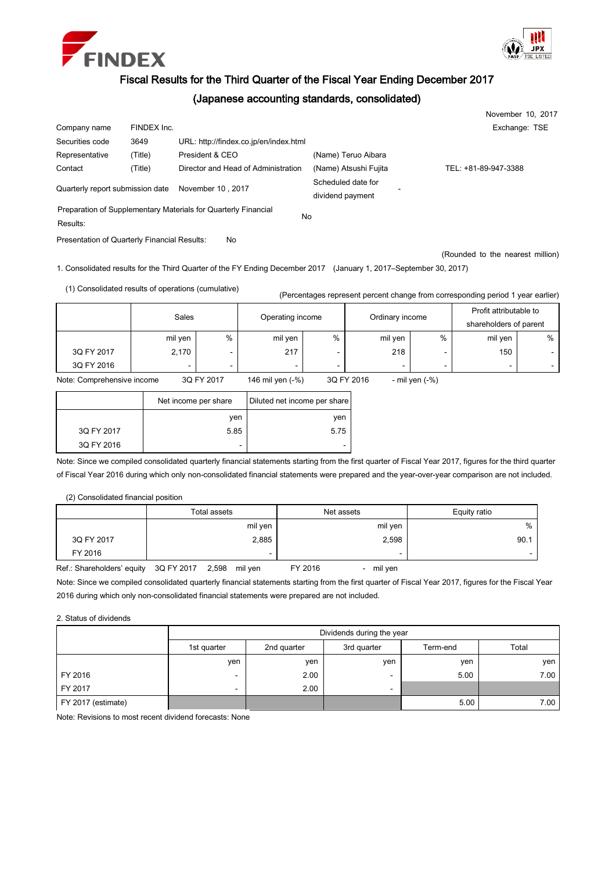



## Fiscal Results for the Third Quarter of the Fiscal Year Ending December 2017

## (Japanese accounting standards, consolidated)

|                                  |             |                                                                |                       | November 10, 2017    |
|----------------------------------|-------------|----------------------------------------------------------------|-----------------------|----------------------|
| Company name                     | FINDEX Inc. |                                                                |                       | Exchange: TSE        |
| Securities code                  | 3649        | URL: http://findex.co.jp/en/index.html                         |                       |                      |
| Representative                   | (Title)     | President & CEO                                                | (Name) Teruo Aibara   |                      |
| Contact                          | (Title)     | Director and Head of Administration                            | (Name) Atsushi Fujita | TEL: +81-89-947-3388 |
| Quarterly report submission date |             |                                                                | Scheduled date for    |                      |
|                                  |             | November 10, 2017                                              | dividend payment      |                      |
|                                  |             | Preparation of Supplementary Materials for Quarterly Financial |                       |                      |
| Results:                         |             |                                                                | No                    |                      |

Presentation of Quarterly Financial Results: No

(Rounded to the nearest million)

1. Consolidated results for the Third Quarter of the FY Ending December 2017 (January 1, 2017–September 30, 2017)

(1) Consolidated results of operations (cumulative)

(Percentages represent percent change from corresponding period 1 year earlier)

|            | Sales          |   | Operating income |   | Ordinary income |      | Profit attributable to<br>shareholders of parent |        |  |
|------------|----------------|---|------------------|---|-----------------|------|--------------------------------------------------|--------|--|
|            | mil yen        | % | mil yen          | % | mil yen         | $\%$ | mil yen                                          | %      |  |
| 3Q FY 2017 | 2,170          | - | 217              |   | 218             | -    | 150                                              | $\sim$ |  |
| 3Q FY 2016 | $\overline{a}$ | - | $\sim$           | - | -               | -    | $\overline{\phantom{0}}$                         | $\sim$ |  |

Note: Comprehensive income 3Q FY 2017 146 mil yen (-%) 3Q FY 2016 - mil yen (-%)

|            | Net income per share | Diluted net income per share |  |  |
|------------|----------------------|------------------------------|--|--|
|            | ven                  | ven                          |  |  |
| 3Q FY 2017 | 5.85                 | 5.75                         |  |  |
| 3Q FY 2016 | -                    | -                            |  |  |

Note: Since we compiled consolidated quarterly financial statements starting from the first quarter of Fiscal Year 2017, figures for the third quarter of Fiscal Year 2016 during which only non-consolidated financial statements were prepared and the year-over-year comparison are not included.

## (2) Consolidated financial position

|            | Total assets | Net assets | Equity ratio |
|------------|--------------|------------|--------------|
|            | mil yen      | mil yen    | %            |
| 3Q FY 2017 | 2,885        | 2,598      | 90.1         |
| FY 2016    | -            | -          | -            |

Ref.: Shareholders' equity 3Q FY 2017 2,598 mil yen FY 2016 - mil yen

Note: Since we compiled consolidated quarterly financial statements starting from the first quarter of Fiscal Year 2017, figures for the Fiscal Year 2016 during which only non-consolidated financial statements were prepared are not included.

2. Status of dividends

|                    | Dividends during the year                                      |      |     |      |      |  |  |  |
|--------------------|----------------------------------------------------------------|------|-----|------|------|--|--|--|
|                    | Total<br>2nd quarter<br>3rd quarter<br>Term-end<br>1st quarter |      |     |      |      |  |  |  |
|                    | yen                                                            | yen  | ven | yen  | ven  |  |  |  |
| FY 2016            | -                                                              | 2.00 | -   | 5.00 | 7.00 |  |  |  |
| FY 2017            | -                                                              | 2.00 | -   |      |      |  |  |  |
| FY 2017 (estimate) |                                                                |      |     | 5.00 | 7.00 |  |  |  |

Note: Revisions to most recent dividend forecasts: None